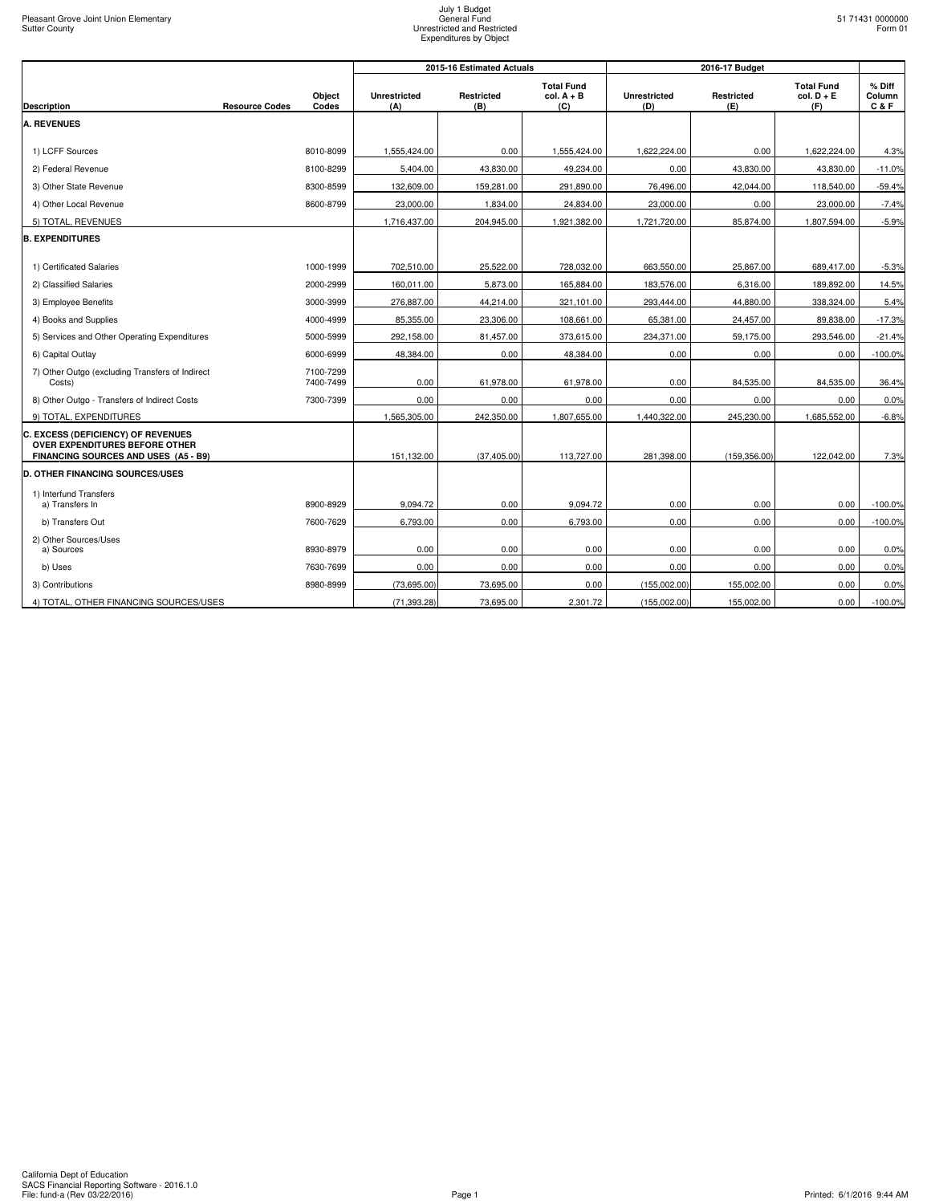|                                                                                                              |                       |                        |                            | 2015-16 Estimated Actuals |                                          |                            |                   |                                          |                           |
|--------------------------------------------------------------------------------------------------------------|-----------------------|------------------------|----------------------------|---------------------------|------------------------------------------|----------------------------|-------------------|------------------------------------------|---------------------------|
| <b>Description</b>                                                                                           | <b>Resource Codes</b> | Object<br>Codes        | <b>Unrestricted</b><br>(A) | Restricted<br>(B)         | <b>Total Fund</b><br>$col. A + B$<br>(C) | <b>Unrestricted</b><br>(D) | Restricted<br>(E) | <b>Total Fund</b><br>$col. D + E$<br>(F) | % Diff<br>Column<br>C & F |
| <b>A. REVENUES</b>                                                                                           |                       |                        |                            |                           |                                          |                            |                   |                                          |                           |
|                                                                                                              |                       |                        |                            |                           |                                          |                            |                   |                                          |                           |
| 1) LCFF Sources                                                                                              |                       | 8010-8099              | 1.555.424.00               | 0.00                      | 1.555.424.00                             | 1.622.224.00               | 0.00              | 1.622.224.00                             | 4.3%                      |
| 2) Federal Revenue                                                                                           |                       | 8100-8299              | 5,404.00                   | 43,830.00                 | 49,234.00                                | 0.00                       | 43,830.00         | 43,830.00                                | $-11.0%$                  |
| 3) Other State Revenue                                                                                       |                       | 8300-8599              | 132,609.00                 | 159,281.00                | 291,890.00                               | 76,496.00                  | 42,044.00         | 118,540.00                               | $-59.4%$                  |
| 4) Other Local Revenue                                                                                       |                       | 8600-8799              | 23,000.00                  | 1,834.00                  | 24,834.00                                | 23,000.00                  | 0.00              | 23,000.00                                | $-7.4%$                   |
| 5) TOTAL, REVENUES                                                                                           |                       |                        | 1,716,437.00               | 204,945.00                | 1,921,382.00                             | 1,721,720.00               | 85,874.00         | 1,807,594.00                             | $-5.9%$                   |
| <b>B. EXPENDITURES</b>                                                                                       |                       |                        |                            |                           |                                          |                            |                   |                                          |                           |
| 1) Certificated Salaries                                                                                     |                       | 1000-1999              | 702,510.00                 | 25,522.00                 | 728,032.00                               | 663,550.00                 | 25,867.00         | 689,417.00                               | $-5.3%$                   |
| 2) Classified Salaries                                                                                       |                       | 2000-2999              | 160,011.00                 | 5,873.00                  | 165,884.00                               | 183,576.00                 | 6,316.00          | 189,892.00                               | 14.5%                     |
| 3) Employee Benefits                                                                                         |                       | 3000-3999              | 276,887.00                 | 44,214.00                 | 321,101.00                               | 293,444.00                 | 44,880.00         | 338,324.00                               | 5.4%                      |
| 4) Books and Supplies                                                                                        |                       | 4000-4999              | 85,355.00                  | 23,306.00                 | 108,661.00                               | 65,381.00                  | 24,457.00         | 89,838.00                                | $-17.3%$                  |
| 5) Services and Other Operating Expenditures                                                                 |                       | 5000-5999              | 292,158.00                 | 81,457.00                 | 373,615.00                               | 234,371.00                 | 59,175.00         | 293,546.00                               | $-21.4%$                  |
| 6) Capital Outlay                                                                                            |                       | 6000-6999              | 48,384.00                  | 0.00                      | 48,384.00                                | 0.00                       | 0.00              | 0.00                                     | $-100.0%$                 |
| 7) Other Outgo (excluding Transfers of Indirect<br>Costs)                                                    |                       | 7100-7299<br>7400-7499 | 0.00                       | 61,978.00                 | 61,978.00                                | 0.00                       | 84,535.00         | 84,535.00                                | 36.4%                     |
| 8) Other Outgo - Transfers of Indirect Costs                                                                 |                       | 7300-7399              | 0.00                       | 0.00                      | 0.00                                     | 0.00                       | 0.00              | 0.00                                     | 0.0%                      |
| 9) TOTAL, EXPENDITURES                                                                                       |                       |                        | 1,565,305.00               | 242.350.00                | 1,807,655.00                             | 1,440,322.00               | 245,230.00        | 1,685,552.00                             | $-6.8%$                   |
| C. EXCESS (DEFICIENCY) OF REVENUES<br>OVER EXPENDITURES BEFORE OTHER<br>FINANCING SOURCES AND USES (A5 - B9) |                       |                        | 151,132.00                 | (37, 405.00)              | 113,727.00                               | 281,398.00                 | (159, 356.00)     | 122,042.00                               | 7.3%                      |
| <b>D. OTHER FINANCING SOURCES/USES</b>                                                                       |                       |                        |                            |                           |                                          |                            |                   |                                          |                           |
| 1) Interfund Transfers<br>a) Transfers In                                                                    |                       | 8900-8929              | 9,094.72                   | 0.00                      | 9,094.72                                 | 0.00                       | 0.00              | 0.00                                     | $-100.0%$                 |
| b) Transfers Out                                                                                             |                       | 7600-7629              | 6,793.00                   | 0.00                      | 6,793.00                                 | 0.00                       | 0.00              | 0.00                                     | $-100.0%$                 |
| 2) Other Sources/Uses                                                                                        |                       |                        |                            |                           |                                          |                            |                   |                                          |                           |
| a) Sources                                                                                                   |                       | 8930-8979              | 0.00                       | 0.00                      | 0.00                                     | 0.00                       | 0.00              | 0.00                                     | 0.0%                      |
| b) Uses                                                                                                      |                       | 7630-7699              | 0.00                       | 0.00                      | 0.00                                     | 0.00                       | 0.00              | 0.00                                     | 0.0%                      |
| 3) Contributions                                                                                             |                       | 8980-8999              | (73,695.00)                | 73,695.00                 | 0.00                                     | (155,002.00)               | 155,002.00        | 0.00                                     | 0.0%                      |
| 4) TOTAL, OTHER FINANCING SOURCES/USES                                                                       |                       |                        | (71, 393.28)               | 73,695.00                 | 2,301.72                                 | (155,002.00)               | 155,002.00        | 0.00                                     | $-100.0%$                 |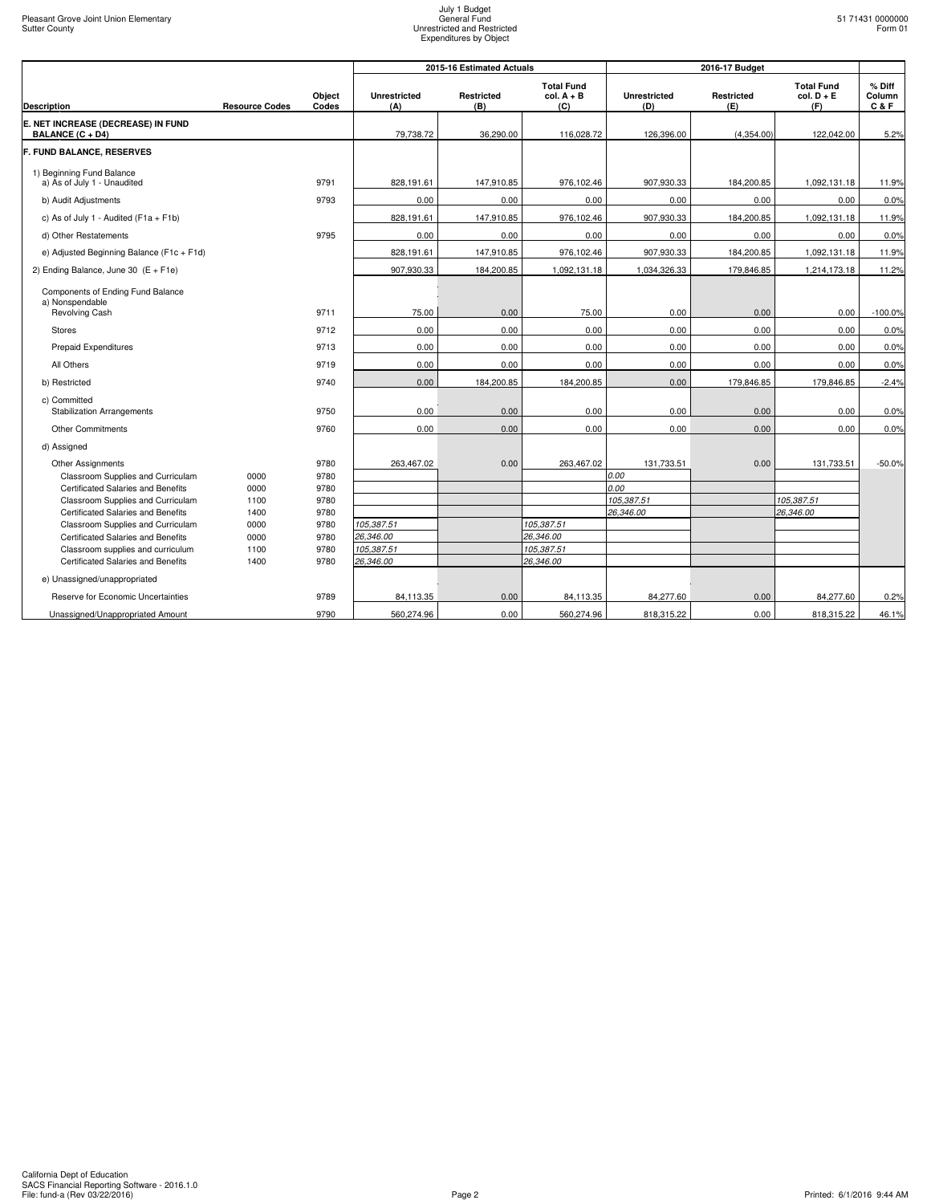|                                                                         |                       |                 |                            | 2015-16 Estimated Actuals |                                          |                            | 2016-17 Budget    |                                          |                         |
|-------------------------------------------------------------------------|-----------------------|-----------------|----------------------------|---------------------------|------------------------------------------|----------------------------|-------------------|------------------------------------------|-------------------------|
| <b>Description</b>                                                      | <b>Resource Codes</b> | Object<br>Codes | <b>Unrestricted</b><br>(A) | Restricted<br>(B)         | <b>Total Fund</b><br>$col. A + B$<br>(C) | <b>Unrestricted</b><br>(D) | Restricted<br>(E) | <b>Total Fund</b><br>$col. D + E$<br>(F) | % Diff<br>Column<br>C&F |
| E. NET INCREASE (DECREASE) IN FUND                                      |                       |                 |                            |                           |                                          |                            |                   |                                          |                         |
| BALANCE (C + D4)                                                        |                       |                 | 79,738.72                  | 36.290.00                 | 116,028.72                               | 126,396.00                 | (4,354.00)        | 122,042.00                               | 5.2%                    |
| F. FUND BALANCE, RESERVES                                               |                       |                 |                            |                           |                                          |                            |                   |                                          |                         |
| 1) Beginning Fund Balance<br>a) As of July 1 - Unaudited                |                       | 9791            | 828,191.61                 | 147,910.85                | 976,102.46                               | 907,930.33                 | 184,200.85        | 1,092,131.18                             | 11.9%                   |
| b) Audit Adjustments                                                    |                       | 9793            | 0.00                       | 0.00                      | 0.00                                     | 0.00                       | 0.00              | 0.00                                     | 0.0%                    |
| c) As of July 1 - Audited ( $F1a + F1b$ )                               |                       |                 | 828.191.61                 | 147.910.85                | 976.102.46                               | 907,930.33                 | 184,200.85        | 1,092,131.18                             | 11.9%                   |
| d) Other Restatements                                                   |                       | 9795            | 0.00                       | 0.00                      | 0.00                                     | 0.00                       | 0.00              | 0.00                                     | 0.0%                    |
| e) Adjusted Beginning Balance (F1c + F1d)                               |                       |                 | 828,191.61                 | 147,910.85                | 976,102.46                               | 907,930.33                 | 184,200.85        | 1,092,131.18                             | 11.9%                   |
| 2) Ending Balance, June 30 $(E + F1e)$                                  |                       |                 | 907,930.33                 | 184,200.85                | 1,092,131.18                             | 1,034,326.33               | 179,846.85        | 1,214,173.18                             | 11.2%                   |
| Components of Ending Fund Balance<br>a) Nonspendable                    |                       |                 |                            |                           |                                          |                            |                   |                                          |                         |
| Revolving Cash                                                          |                       | 9711            | 75.00                      | 0.00                      | 75.00                                    | 0.00                       | 0.00              | 0.00                                     | $-100.0%$               |
| <b>Stores</b>                                                           |                       | 9712            | 0.00                       | 0.00                      | 0.00                                     | 0.00                       | 0.00              | 0.00                                     | 0.0%                    |
| <b>Prepaid Expenditures</b>                                             |                       | 9713            | 0.00                       | 0.00                      | 0.00                                     | 0.00                       | 0.00              | 0.00                                     | 0.0%                    |
| All Others                                                              |                       | 9719            | 0.00                       | 0.00                      | 0.00                                     | 0.00                       | 0.00              | 0.00                                     | 0.0%                    |
| b) Restricted                                                           |                       | 9740            | 0.00                       | 184,200.85                | 184,200.85                               | 0.00                       | 179,846.85        | 179,846.85                               | $-2.4%$                 |
| c) Committed<br><b>Stabilization Arrangements</b>                       |                       | 9750            | 0.00                       | 0.00                      | 0.00                                     | 0.00                       | 0.00              | 0.00                                     | 0.0%                    |
| <b>Other Commitments</b>                                                |                       | 9760            | 0.00                       | 0.00                      | 0.00                                     | 0.00                       | 0.00              | 0.00                                     | 0.0%                    |
| d) Assigned                                                             |                       |                 |                            |                           |                                          |                            |                   |                                          |                         |
| <b>Other Assignments</b><br>Classroom Supplies and Curriculam           | 0000                  | 9780<br>9780    | 263,467.02                 | 0.00                      | 263,467.02                               | 131,733.51<br>0.00         | 0.00              | 131,733.51                               | $-50.0%$                |
| Certificated Salaries and Benefits                                      | 0000                  | 9780            |                            |                           |                                          | 0.00                       |                   |                                          |                         |
| Classroom Supplies and Curriculam                                       | 1100                  | 9780            |                            |                           |                                          | 105,387.51                 |                   | 105,387.51                               |                         |
| Certificated Salaries and Benefits<br>Classroom Supplies and Curriculam | 1400<br>0000          | 9780<br>9780    | 105,387.51                 |                           | 105,387.51                               | 26,346.00                  |                   | 26,346.00                                |                         |
| Certificated Salaries and Benefits                                      | 0000                  | 9780            | 26,346.00                  |                           | 26,346.00                                |                            |                   |                                          |                         |
| Classroom supplies and curriculum                                       | 1100                  | 9780            | 105,387.51                 |                           | 105,387.51                               |                            |                   |                                          |                         |
| <b>Certificated Salaries and Benefits</b>                               | 1400                  | 9780            | 26,346.00                  |                           | 26,346.00                                |                            |                   |                                          |                         |
| e) Unassigned/unappropriated                                            |                       |                 |                            |                           |                                          |                            |                   |                                          |                         |
| Reserve for Economic Uncertainties                                      |                       | 9789            | 84,113.35                  | 0.00                      | 84,113.35                                | 84,277.60                  | 0.00              | 84,277.60                                | 0.2%                    |
| Unassigned/Unappropriated Amount                                        |                       | 9790            | 560,274.96                 | 0.00                      | 560,274.96                               | 818,315.22                 | 0.00              | 818,315.22                               | 46.1%                   |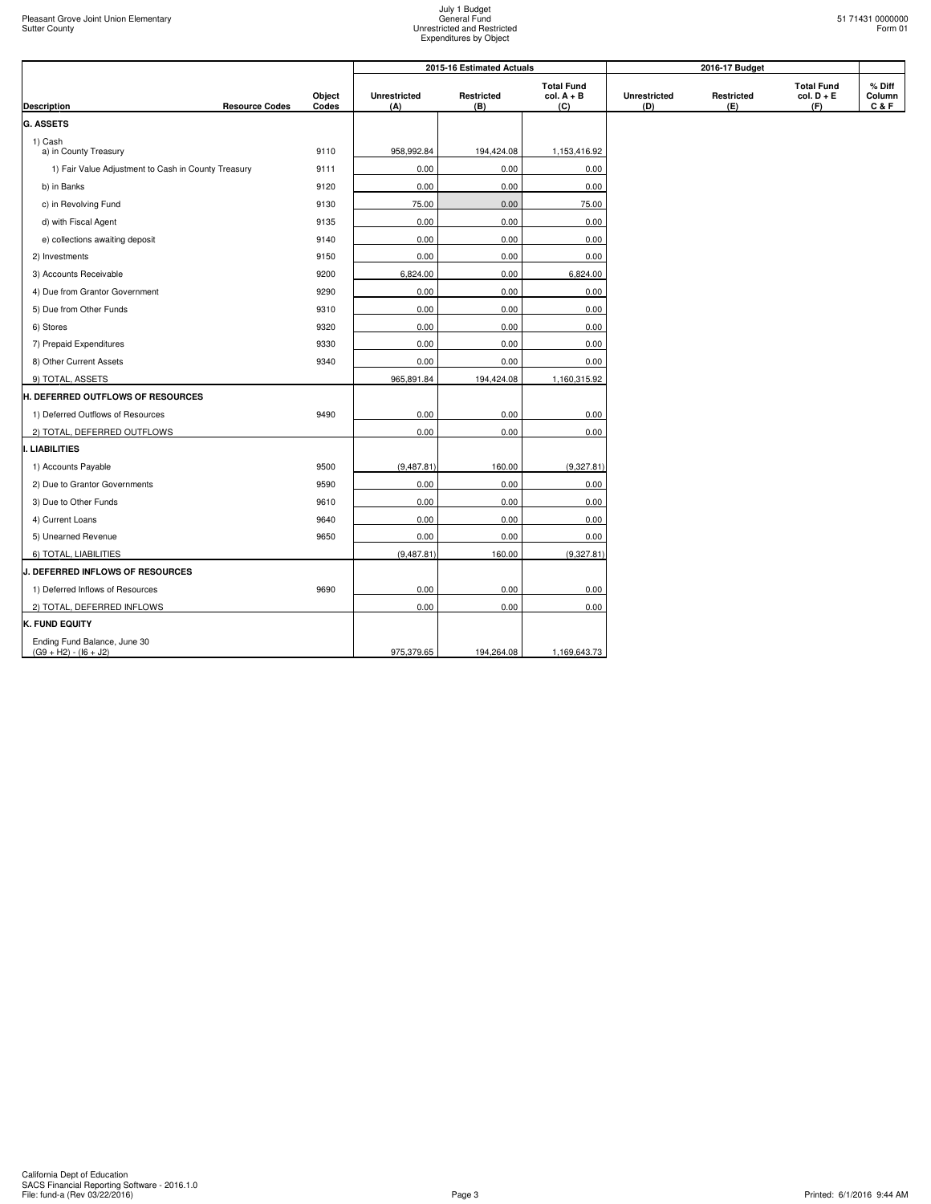|  | 51 71431 0000000<br>Form 01 |
|--|-----------------------------|
|  |                             |

|                                                         |                 | 2015-16 Estimated Actuals  |                          |                                          |                            |                   |                                          |                         |
|---------------------------------------------------------|-----------------|----------------------------|--------------------------|------------------------------------------|----------------------------|-------------------|------------------------------------------|-------------------------|
| Description<br><b>Resource Codes</b>                    | Object<br>Codes | <b>Unrestricted</b><br>(A) | <b>Restricted</b><br>(B) | <b>Total Fund</b><br>$col. A + B$<br>(C) | <b>Unrestricted</b><br>(D) | Restricted<br>(E) | <b>Total Fund</b><br>$col. D + E$<br>(F) | % Diff<br>Column<br>C&F |
| G. ASSETS                                               |                 |                            |                          |                                          |                            |                   |                                          |                         |
| 1) Cash<br>a) in County Treasury                        | 9110            | 958,992.84                 | 194,424.08               | 1,153,416.92                             |                            |                   |                                          |                         |
| 1) Fair Value Adjustment to Cash in County Treasury     | 9111            | 0.00                       | 0.00                     | 0.00                                     |                            |                   |                                          |                         |
| b) in Banks                                             | 9120            | 0.00                       | 0.00                     | 0.00                                     |                            |                   |                                          |                         |
| c) in Revolving Fund                                    | 9130            | 75.00                      | 0.00                     | 75.00                                    |                            |                   |                                          |                         |
| d) with Fiscal Agent                                    | 9135            | 0.00                       | 0.00                     | 0.00                                     |                            |                   |                                          |                         |
| e) collections awaiting deposit                         | 9140            | 0.00                       | 0.00                     | 0.00                                     |                            |                   |                                          |                         |
| 2) Investments                                          | 9150            | 0.00                       | 0.00                     | 0.00                                     |                            |                   |                                          |                         |
| 3) Accounts Receivable                                  | 9200            | 6,824.00                   | 0.00                     | 6,824.00                                 |                            |                   |                                          |                         |
| 4) Due from Grantor Government                          | 9290            | 0.00                       | 0.00                     | 0.00                                     |                            |                   |                                          |                         |
| 5) Due from Other Funds                                 | 9310            | 0.00                       | 0.00                     | 0.00                                     |                            |                   |                                          |                         |
| 6) Stores                                               | 9320            | 0.00                       | 0.00                     | 0.00                                     |                            |                   |                                          |                         |
| 7) Prepaid Expenditures                                 | 9330            | 0.00                       | 0.00                     | 0.00                                     |                            |                   |                                          |                         |
| 8) Other Current Assets                                 | 9340            | 0.00                       | 0.00                     | 0.00                                     |                            |                   |                                          |                         |
| 9) TOTAL, ASSETS                                        |                 | 965,891.84                 | 194,424.08               | 1,160,315.92                             |                            |                   |                                          |                         |
| <b>H. DEFERRED OUTFLOWS OF RESOURCES</b>                |                 |                            |                          |                                          |                            |                   |                                          |                         |
| 1) Deferred Outflows of Resources                       | 9490            | 0.00                       | 0.00                     | 0.00                                     |                            |                   |                                          |                         |
| 2) TOTAL, DEFERRED OUTFLOWS                             |                 | 0.00                       | 0.00                     | 0.00                                     |                            |                   |                                          |                         |
| <b>LIABILITIES</b>                                      |                 |                            |                          |                                          |                            |                   |                                          |                         |
| 1) Accounts Payable                                     | 9500            | (9,487.81)                 | 160.00                   | (9,327.81)                               |                            |                   |                                          |                         |
| 2) Due to Grantor Governments                           | 9590            | 0.00                       | 0.00                     | 0.00                                     |                            |                   |                                          |                         |
| 3) Due to Other Funds                                   | 9610            | 0.00                       | 0.00                     | 0.00                                     |                            |                   |                                          |                         |
| 4) Current Loans                                        | 9640            | 0.00                       | 0.00                     | 0.00                                     |                            |                   |                                          |                         |
| 5) Unearned Revenue                                     | 9650            | 0.00                       | 0.00                     | 0.00                                     |                            |                   |                                          |                         |
| 6) TOTAL, LIABILITIES                                   |                 | (9,487.81)                 | 160.00                   | (9,327.81)                               |                            |                   |                                          |                         |
| <b>J. DEFERRED INFLOWS OF RESOURCES</b>                 |                 |                            |                          |                                          |                            |                   |                                          |                         |
| 1) Deferred Inflows of Resources                        | 9690            | 0.00                       | 0.00                     | 0.00                                     |                            |                   |                                          |                         |
| 2) TOTAL, DEFERRED INFLOWS                              |                 | 0.00                       | 0.00                     | 0.00                                     |                            |                   |                                          |                         |
| K. FUND EQUITY                                          |                 |                            |                          |                                          |                            |                   |                                          |                         |
| Ending Fund Balance, June 30<br>$(G9 + H2) - (16 + J2)$ |                 | 975,379.65                 | 194,264.08               | 1,169,643.73                             |                            |                   |                                          |                         |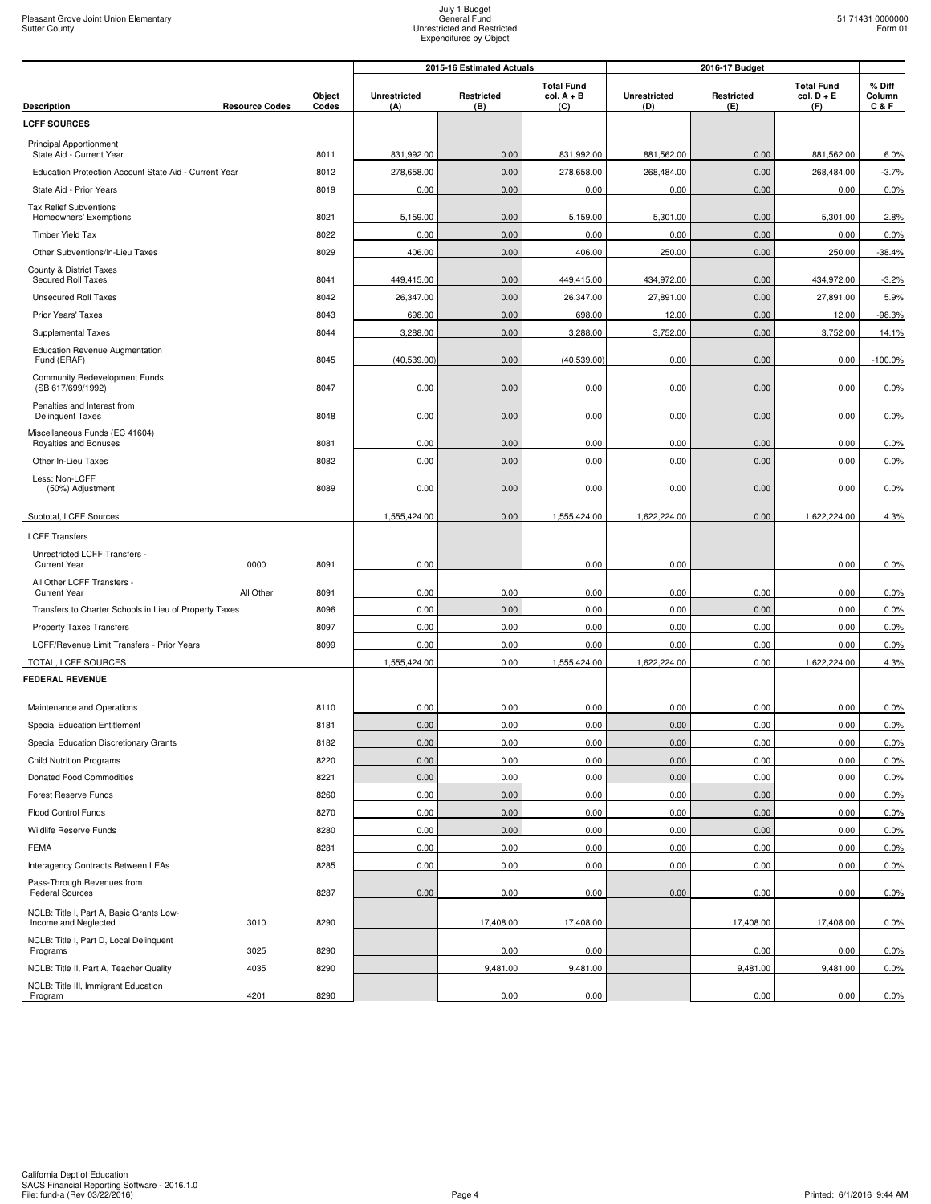|                                                                                           |                 |                            | 2015-16 Estimated Actuals |                                          | 2016-17 Budget             |                          |                                          |                         |
|-------------------------------------------------------------------------------------------|-----------------|----------------------------|---------------------------|------------------------------------------|----------------------------|--------------------------|------------------------------------------|-------------------------|
| <b>Description</b><br><b>Resource Codes</b>                                               | Object<br>Codes | <b>Unrestricted</b><br>(A) | Restricted<br>(B)         | <b>Total Fund</b><br>$col. A + B$<br>(C) | <b>Unrestricted</b><br>(D) | <b>Restricted</b><br>(E) | <b>Total Fund</b><br>$col. D + E$<br>(F) | % Diff<br>Column<br>C&F |
| <b>LCFF SOURCES</b>                                                                       |                 |                            |                           |                                          |                            |                          |                                          |                         |
| Principal Apportionment                                                                   |                 |                            |                           |                                          |                            |                          |                                          |                         |
| State Aid - Current Year                                                                  | 8011            | 831,992.00                 | 0.00                      | 831,992.00                               | 881,562.00                 | 0.00                     | 881,562.00                               | 6.0%                    |
| Education Protection Account State Aid - Current Year                                     | 8012            | 278,658.00                 | 0.00                      | 278,658.00                               | 268,484.00                 | 0.00                     | 268,484.00                               | $-3.7%$                 |
| State Aid - Prior Years                                                                   | 8019            | 0.00                       | 0.00                      | 0.00                                     | 0.00                       | 0.00                     | 0.00                                     | 0.0%                    |
| <b>Tax Relief Subventions</b><br>Homeowners' Exemptions                                   | 8021            | 5,159.00                   | 0.00                      | 5,159.00                                 | 5,301.00                   | 0.00                     | 5,301.00                                 | 2.8%                    |
| <b>Timber Yield Tax</b>                                                                   | 8022            | 0.00                       | 0.00                      | 0.00                                     | 0.00                       | 0.00                     | 0.00                                     | 0.0%                    |
| Other Subventions/In-Lieu Taxes                                                           | 8029            | 406.00                     | 0.00                      | 406.00                                   | 250.00                     | 0.00                     | 250.00                                   | $-38.4%$                |
| County & District Taxes                                                                   |                 |                            |                           |                                          |                            |                          |                                          |                         |
| Secured Roll Taxes                                                                        | 8041            | 449,415.00                 | 0.00                      | 449,415.00                               | 434,972.00                 | 0.00                     | 434,972.00                               | $-3.2%$                 |
| <b>Unsecured Roll Taxes</b>                                                               | 8042            | 26,347.00                  | 0.00                      | 26,347.00                                | 27,891.00                  | 0.00                     | 27,891.00                                | 5.9%                    |
| Prior Years' Taxes                                                                        | 8043            | 698.00                     | 0.00                      | 698.00                                   | 12.00                      | 0.00                     | 12.00                                    | $-98.3%$                |
| Supplemental Taxes                                                                        | 8044            | 3,288.00                   | 0.00                      | 3,288.00                                 | 3,752.00                   | 0.00                     | 3,752.00                                 | 14.1%                   |
| <b>Education Revenue Augmentation</b><br>Fund (ERAF)                                      | 8045            | (40,539.00)                | 0.00                      | (40,539.00)                              | 0.00                       | 0.00                     | 0.00                                     | $-100.0%$               |
| Community Redevelopment Funds<br>(SB 617/699/1992)                                        | 8047            | 0.00                       | 0.00                      | 0.00                                     | 0.00                       | 0.00                     | 0.00                                     | 0.0%                    |
| Penalties and Interest from                                                               |                 |                            |                           |                                          |                            |                          |                                          |                         |
| <b>Delinquent Taxes</b>                                                                   | 8048            | 0.00                       | 0.00                      | 0.00                                     | 0.00                       | 0.00                     | 0.00                                     | 0.0%                    |
| Miscellaneous Funds (EC 41604)<br>Royalties and Bonuses                                   | 8081            | 0.00                       | 0.00                      | 0.00                                     | 0.00                       | 0.00                     | 0.00                                     | 0.0%                    |
| Other In-Lieu Taxes                                                                       | 8082            | 0.00                       | 0.00                      | 0.00                                     | 0.00                       | 0.00                     | 0.00                                     | 0.0%                    |
| Less: Non-LCFF                                                                            |                 |                            |                           |                                          |                            |                          |                                          |                         |
| (50%) Adjustment                                                                          | 8089            | 0.00                       | 0.00                      | 0.00                                     | 0.00                       | 0.00                     | 0.00                                     | 0.0%                    |
| Subtotal, LCFF Sources                                                                    |                 | 1,555,424.00               | 0.00                      | 1,555,424.00                             | 1,622,224.00               | 0.00                     | 1,622,224.00                             | 4.3%                    |
| <b>LCFF Transfers</b>                                                                     |                 |                            |                           |                                          |                            |                          |                                          |                         |
| Unrestricted LCFF Transfers -<br><b>Current Year</b><br>0000                              | 8091            | 0.00                       |                           | 0.00                                     | 0.00                       |                          | 0.00                                     | 0.0%                    |
| All Other LCFF Transfers -                                                                |                 |                            |                           |                                          |                            |                          |                                          |                         |
| <b>Current Year</b><br>All Other                                                          | 8091            | 0.00                       | 0.00                      | 0.00                                     | 0.00                       | 0.00                     | 0.00                                     | 0.0%                    |
| Transfers to Charter Schools in Lieu of Property Taxes<br><b>Property Taxes Transfers</b> | 8096<br>8097    | 0.00                       | 0.00<br>0.00              | 0.00<br>0.00                             | 0.00<br>0.00               | 0.00<br>0.00             | 0.00<br>0.00                             | 0.0%<br>0.0%            |
| LCFF/Revenue Limit Transfers - Prior Years                                                | 8099            | 0.00<br>0.00               | 0.00                      | 0.00                                     | 0.00                       | 0.00                     | 0.00                                     | 0.0%                    |
| TOTAL, LCFF SOURCES                                                                       |                 | 1,555,424.00               | 0.00                      | 1,555,424.00                             | 1,622,224.00               | 0.00                     | 1,622,224.00                             | 4.3%                    |
| <b>FEDERAL REVENUE</b>                                                                    |                 |                            |                           |                                          |                            |                          |                                          |                         |
|                                                                                           |                 |                            |                           |                                          |                            |                          |                                          |                         |
| Maintenance and Operations                                                                | 8110            | 0.00                       | 0.00                      | 0.00                                     | 0.00                       | 0.00                     | 0.00                                     | 0.0%                    |
| <b>Special Education Entitlement</b>                                                      | 8181            | 0.00                       | 0.00                      | 0.00                                     | 0.00                       | 0.00                     | 0.00                                     | 0.0%                    |
| Special Education Discretionary Grants                                                    | 8182            | 0.00                       | 0.00                      | 0.00                                     | 0.00                       | 0.00                     | 0.00                                     | 0.0%                    |
| <b>Child Nutrition Programs</b>                                                           | 8220            | 0.00                       | 0.00                      | 0.00                                     | 0.00                       | 0.00                     | 0.00                                     | 0.0%                    |
| Donated Food Commodities                                                                  | 8221            | 0.00                       | 0.00                      | 0.00                                     | 0.00                       | 0.00                     | 0.00                                     | 0.0%                    |
| Forest Reserve Funds                                                                      | 8260            | 0.00                       | 0.00                      | 0.00                                     | 0.00                       | 0.00                     | 0.00                                     | 0.0%                    |
| Flood Control Funds                                                                       | 8270            | 0.00                       | 0.00                      | 0.00                                     | 0.00                       | 0.00                     | 0.00                                     | 0.0%                    |
| Wildlife Reserve Funds                                                                    | 8280            | 0.00                       | 0.00                      | 0.00                                     | 0.00                       | 0.00                     | 0.00                                     | 0.0%                    |
| <b>FEMA</b>                                                                               | 8281            | 0.00                       | 0.00                      | 0.00                                     | 0.00                       | 0.00                     | 0.00                                     | 0.0%                    |
| Interagency Contracts Between LEAs<br>Pass-Through Revenues from                          | 8285            | 0.00                       | 0.00                      | 0.00                                     | 0.00                       | 0.00                     | 0.00                                     | 0.0%                    |
| <b>Federal Sources</b>                                                                    | 8287            | 0.00                       | 0.00                      | 0.00                                     | 0.00                       | 0.00                     | 0.00                                     | 0.0%                    |
| NCLB: Title I, Part A, Basic Grants Low-<br>Income and Neglected<br>3010                  | 8290            |                            | 17,408.00                 | 17,408.00                                |                            | 17,408.00                | 17,408.00                                | 0.0%                    |
| NCLB: Title I, Part D, Local Delinquent<br>3025<br>Programs                               | 8290            |                            | 0.00                      | 0.00                                     |                            | 0.00                     | 0.00                                     | 0.0%                    |
| NCLB: Title II, Part A, Teacher Quality<br>4035                                           | 8290            |                            | 9,481.00                  | 9,481.00                                 |                            | 9,481.00                 | 9,481.00                                 | 0.0%                    |
| NCLB: Title III, Immigrant Education                                                      |                 |                            |                           |                                          |                            |                          |                                          |                         |
| 4201<br>Program                                                                           | 8290            |                            | 0.00                      | 0.00                                     |                            | 0.00                     | 0.00                                     | 0.0%                    |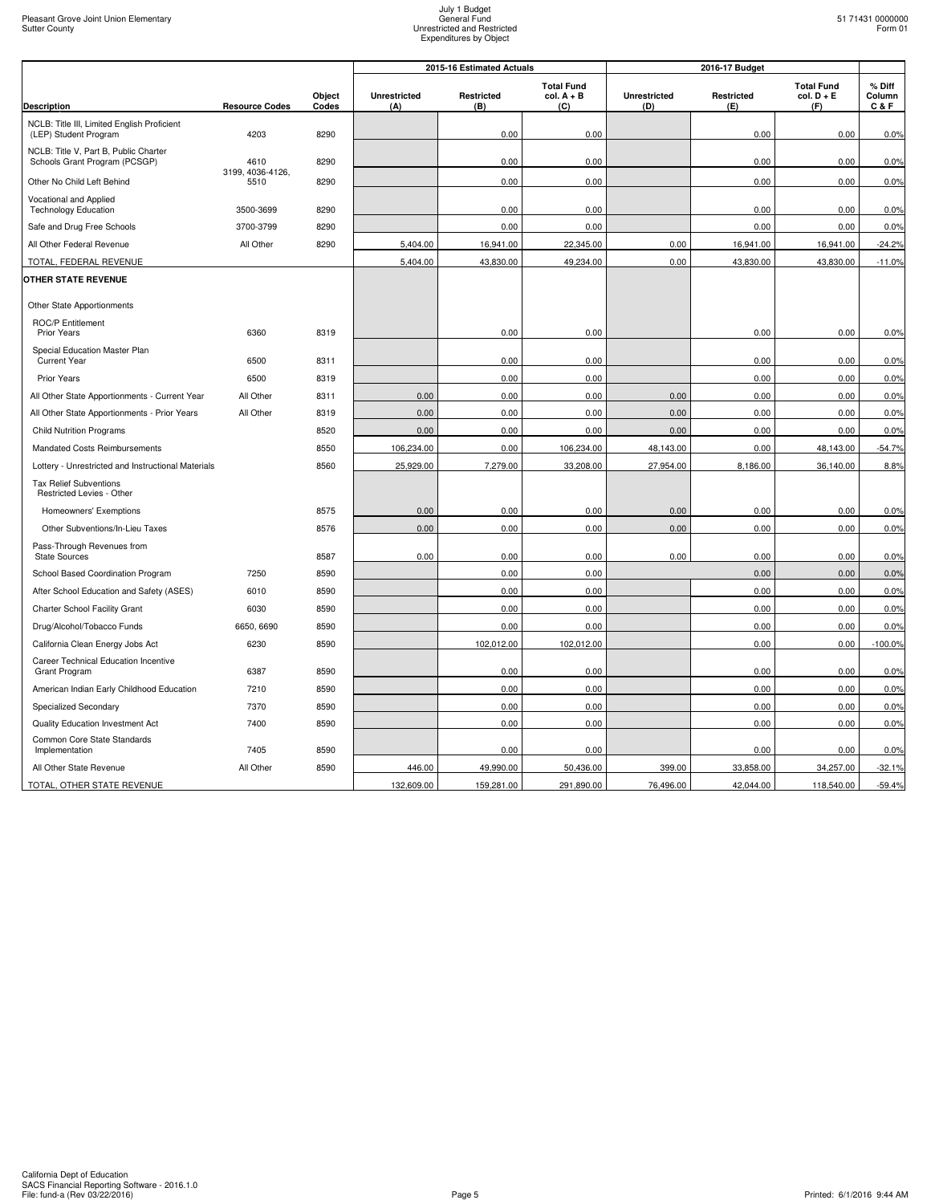|                                                                        |                          |                 |                            | 2015-16 Estimated Actuals |                                          | 2016-17 Budget             |                          |                                          |                         |
|------------------------------------------------------------------------|--------------------------|-----------------|----------------------------|---------------------------|------------------------------------------|----------------------------|--------------------------|------------------------------------------|-------------------------|
| <b>Description</b>                                                     | <b>Resource Codes</b>    | Object<br>Codes | <b>Unrestricted</b><br>(A) | Restricted<br>(B)         | <b>Total Fund</b><br>$col. A + B$<br>(C) | <b>Unrestricted</b><br>(D) | <b>Restricted</b><br>(E) | <b>Total Fund</b><br>$col. D + E$<br>(F) | % Diff<br>Column<br>C&F |
| NCLB: Title III, Limited English Proficient                            |                          |                 |                            |                           |                                          |                            |                          |                                          |                         |
| (LEP) Student Program                                                  | 4203                     | 8290            |                            | 0.00                      | 0.00                                     |                            | 0.00                     | 0.00                                     | 0.0%                    |
| NCLB: Title V, Part B, Public Charter<br>Schools Grant Program (PCSGP) | 4610                     | 8290            |                            | 0.00                      | 0.00                                     |                            | 0.00                     | 0.00                                     | 0.0%                    |
| Other No Child Left Behind                                             | 3199, 4036-4126,<br>5510 | 8290            |                            | 0.00                      | 0.00                                     |                            | 0.00                     | 0.00                                     | 0.0%                    |
| Vocational and Applied<br><b>Technology Education</b>                  | 3500-3699                | 8290            |                            | 0.00                      | 0.00                                     |                            | 0.00                     | 0.00                                     | 0.0%                    |
| Safe and Drug Free Schools                                             | 3700-3799                | 8290            |                            | 0.00                      | 0.00                                     |                            | 0.00                     | 0.00                                     | 0.0%                    |
| All Other Federal Revenue                                              | All Other                | 8290            | 5,404.00                   | 16,941.00                 | 22,345.00                                | 0.00                       | 16,941.00                | 16,941.00                                | $-24.2%$                |
| TOTAL, FEDERAL REVENUE                                                 |                          |                 | 5,404.00                   | 43,830.00                 | 49,234.00                                | 0.00                       | 43,830.00                | 43,830.00                                | $-11.0%$                |
| <b>OTHER STATE REVENUE</b>                                             |                          |                 |                            |                           |                                          |                            |                          |                                          |                         |
| Other State Apportionments                                             |                          |                 |                            |                           |                                          |                            |                          |                                          |                         |
| <b>ROC/P Entitlement</b><br><b>Prior Years</b>                         | 6360                     | 8319            |                            | 0.00                      | 0.00                                     |                            | 0.00                     | 0.00                                     | 0.0%                    |
| Special Education Master Plan<br><b>Current Year</b>                   | 6500                     | 8311            |                            | 0.00                      | 0.00                                     |                            | 0.00                     | 0.00                                     | 0.0%                    |
| Prior Years                                                            | 6500                     | 8319            |                            | 0.00                      | 0.00                                     |                            | 0.00                     | 0.00                                     | 0.0%                    |
| All Other State Apportionments - Current Year                          | All Other                | 8311            | 0.00                       | 0.00                      | 0.00                                     | 0.00                       | 0.00                     | 0.00                                     | 0.0%                    |
| All Other State Apportionments - Prior Years                           | All Other                | 8319            | 0.00                       | 0.00                      | 0.00                                     | 0.00                       | 0.00                     | 0.00                                     | 0.0%                    |
| <b>Child Nutrition Programs</b>                                        |                          | 8520            | 0.00                       | 0.00                      | 0.00                                     | 0.00                       | 0.00                     | 0.00                                     | 0.0%                    |
| Mandated Costs Reimbursements                                          |                          | 8550            | 106,234.00                 | 0.00                      | 106,234.00                               | 48,143.00                  | 0.00                     | 48,143.00                                | $-54.7%$                |
| Lottery - Unrestricted and Instructional Materials                     |                          | 8560            | 25,929.00                  | 7,279.00                  | 33,208.00                                | 27,954.00                  | 8,186.00                 | 36,140.00                                | 8.8%                    |
| <b>Tax Relief Subventions</b><br>Restricted Levies - Other             |                          |                 |                            |                           |                                          |                            |                          |                                          |                         |
| Homeowners' Exemptions                                                 |                          | 8575            | 0.00                       | 0.00                      | 0.00                                     | 0.00                       | 0.00                     | 0.00                                     | 0.0%                    |
| Other Subventions/In-Lieu Taxes                                        |                          | 8576            | 0.00                       | 0.00                      | 0.00                                     | 0.00                       | 0.00                     | 0.00                                     | 0.0%                    |
| Pass-Through Revenues from<br><b>State Sources</b>                     |                          | 8587            | 0.00                       | 0.00                      | 0.00                                     | 0.00                       | 0.00                     | 0.00                                     | 0.0%                    |
| School Based Coordination Program                                      | 7250                     | 8590            |                            | 0.00                      | 0.00                                     |                            | 0.00                     | 0.00                                     | 0.0%                    |
| After School Education and Safety (ASES)                               | 6010                     | 8590            |                            | 0.00                      | 0.00                                     |                            | 0.00                     | 0.00                                     | 0.0%                    |
| Charter School Facility Grant                                          | 6030                     | 8590            |                            | 0.00                      | 0.00                                     |                            | 0.00                     | 0.00                                     | 0.0%                    |
| Drug/Alcohol/Tobacco Funds                                             | 6650, 6690               | 8590            |                            | 0.00                      | 0.00                                     |                            | 0.00                     | 0.00                                     | 0.0%                    |
| California Clean Energy Jobs Act                                       | 6230                     | 8590            |                            | 102,012.00                | 102,012.00                               |                            | 0.00                     | 0.00                                     | $-100.0%$               |
| Career Technical Education Incentive<br>Grant Program                  | 6387                     | 8590            |                            | 0.00                      | 0.00                                     |                            | 0.00                     | 0.00                                     | 0.0%                    |
| American Indian Early Childhood Education                              | 7210                     | 8590            |                            | 0.00                      | 0.00                                     |                            | 0.00                     | 0.00                                     | 0.0%                    |
| Specialized Secondary                                                  | 7370                     | 8590            |                            | 0.00                      | 0.00                                     |                            | 0.00                     | 0.00                                     | 0.0%                    |
| Quality Education Investment Act                                       | 7400                     | 8590            |                            | 0.00                      | 0.00                                     |                            | 0.00                     | 0.00                                     | 0.0%                    |
| Common Core State Standards<br>Implementation                          | 7405                     | 8590            |                            | 0.00                      | 0.00                                     |                            | 0.00                     | 0.00                                     | 0.0%                    |
| All Other State Revenue                                                | All Other                | 8590            | 446.00                     | 49,990.00                 | 50,436.00                                | 399.00                     | 33,858.00                | 34,257.00                                | $-32.1%$                |
| TOTAL, OTHER STATE REVENUE                                             |                          |                 | 132,609.00                 | 159,281.00                | 291,890.00                               | 76,496.00                  | 42,044.00                | 118,540.00                               | $-59.4%$                |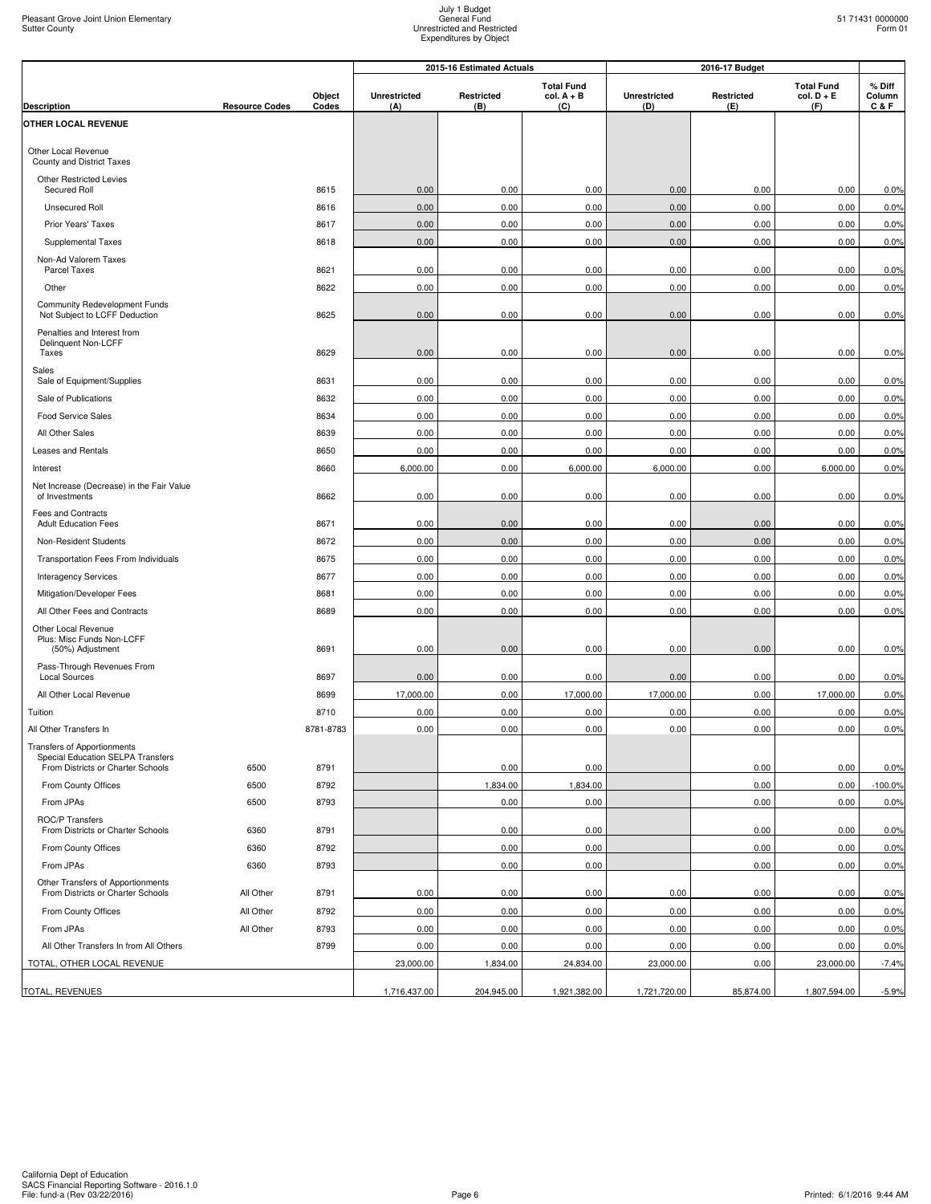|                                                                         |                       |                 | 2015-16 Estimated Actuals |                   |                                          | 2016-17 Budget      |                   |                                          |                         |
|-------------------------------------------------------------------------|-----------------------|-----------------|---------------------------|-------------------|------------------------------------------|---------------------|-------------------|------------------------------------------|-------------------------|
| <b>Description</b>                                                      | <b>Resource Codes</b> | Object<br>Codes | <b>Unrestricted</b>       | Restricted<br>(B) | <b>Total Fund</b><br>$col. A + B$<br>(C) | Unrestricted<br>(D) | Restricted<br>(E) | <b>Total Fund</b><br>$col. D + E$<br>(F) | % Diff<br>Column<br>C&F |
| OTHER LOCAL REVENUE                                                     |                       |                 | (A)                       |                   |                                          |                     |                   |                                          |                         |
|                                                                         |                       |                 |                           |                   |                                          |                     |                   |                                          |                         |
| Other Local Revenue<br>County and District Taxes                        |                       |                 |                           |                   |                                          |                     |                   |                                          |                         |
| Other Restricted Levies<br>Secured Roll                                 |                       | 8615            | 0.00                      | 0.00              | 0.00                                     | 0.00                | 0.00              | 0.00                                     | 0.0%                    |
| <b>Unsecured Roll</b>                                                   |                       | 8616            | 0.00                      | 0.00              | 0.00                                     | 0.00                | 0.00              | 0.00                                     | 0.0%                    |
| Prior Years' Taxes                                                      |                       | 8617            | 0.00                      | 0.00              | 0.00                                     | 0.00                | 0.00              | 0.00                                     | 0.0%                    |
| Supplemental Taxes                                                      |                       | 8618            | 0.00                      | 0.00              | 0.00                                     | 0.00                | 0.00              | 0.00                                     | 0.0%                    |
| Non-Ad Valorem Taxes<br>Parcel Taxes                                    |                       | 8621            | 0.00                      | 0.00              | 0.00                                     | 0.00                | 0.00              | 0.00                                     | 0.0%                    |
| Other                                                                   |                       | 8622            | 0.00                      | 0.00              | 0.00                                     | 0.00                | 0.00              | 0.00                                     | 0.0%                    |
| Community Redevelopment Funds<br>Not Subject to LCFF Deduction          |                       | 8625            | 0.00                      | 0.00              | 0.00                                     | 0.00                | 0.00              | 0.00                                     | 0.0%                    |
| Penalties and Interest from<br>Delinquent Non-LCFF                      |                       |                 |                           |                   |                                          |                     |                   |                                          |                         |
| Taxes                                                                   |                       | 8629            | 0.00                      | 0.00              | 0.00                                     | 0.00                | 0.00              | 0.00                                     | 0.0%                    |
| Sales<br>Sale of Equipment/Supplies                                     |                       | 8631            | 0.00                      | 0.00              | 0.00                                     | 0.00                | 0.00              | 0.00                                     | 0.0%                    |
| Sale of Publications                                                    |                       | 8632            | 0.00                      | 0.00              | 0.00                                     | 0.00                | 0.00              | 0.00                                     | 0.0%                    |
| Food Service Sales                                                      |                       | 8634            | 0.00                      | 0.00              | 0.00                                     | 0.00                | 0.00              | 0.00                                     | 0.0%                    |
| All Other Sales                                                         |                       | 8639            | 0.00                      | 0.00              | 0.00                                     | 0.00                | 0.00              | 0.00                                     | 0.0%                    |
| Leases and Rentals                                                      |                       | 8650            | 0.00                      | 0.00              | 0.00                                     | 0.00                | 0.00              | 0.00                                     | 0.0%                    |
| Interest                                                                |                       | 8660            | 6,000.00                  | 0.00              | 6,000.00                                 | 6,000.00            | 0.00              | 6,000.00                                 | 0.0%                    |
| Net Increase (Decrease) in the Fair Value<br>of Investments             |                       | 8662            | 0.00                      | 0.00              | 0.00                                     | 0.00                | 0.00              | 0.00                                     | 0.0%                    |
| Fees and Contracts<br><b>Adult Education Fees</b>                       |                       | 8671            | 0.00                      | 0.00              | 0.00                                     | 0.00                | 0.00              | 0.00                                     | 0.0%                    |
| Non-Resident Students                                                   |                       | 8672            | 0.00                      | 0.00              | 0.00                                     | 0.00                | 0.00              | 0.00                                     | 0.0%                    |
| Transportation Fees From Individuals                                    |                       | 8675            | 0.00                      | 0.00              | 0.00                                     | 0.00                | 0.00              | 0.00                                     | 0.0%                    |
| <b>Interagency Services</b>                                             |                       | 8677            | 0.00                      | 0.00              | 0.00                                     | 0.00                | 0.00              | 0.00                                     | 0.0%                    |
| Mitigation/Developer Fees                                               |                       | 8681            | 0.00                      | 0.00              | 0.00                                     | 0.00                | 0.00              | 0.00                                     | 0.0%                    |
| All Other Fees and Contracts                                            |                       | 8689            | 0.00                      | 0.00              | 0.00                                     | 0.00                | 0.00              | 0.00                                     | 0.0%                    |
| Other Local Revenue<br>Plus: Misc Funds Non-LCFF<br>(50%) Adjustment    |                       | 8691            | 0.00                      | 0.00              | 0.00                                     | 0.00                | 0.00              | 0.00                                     | 0.0%                    |
| Pass-Through Revenues From<br><b>Local Sources</b>                      |                       | 8697            | 0.00                      | 0.00              | 0.00                                     | 0.00                | 0.00              | 0.00                                     | 0.0%                    |
| All Other Local Revenue                                                 |                       | 8699            | 17,000.00                 | 0.00              | 17,000.00                                | 17,000.00           | 0.00              | 17,000.00                                | 0.0%                    |
| Tuition                                                                 |                       | 8710            | 0.00                      | 0.00              | 0.00                                     | 0.00                | 0.00              | 0.00                                     | 0.0%                    |
| All Other Transfers In                                                  |                       | 8781-8783       | 0.00                      | 0.00              | 0.00                                     | 0.00                | 0.00              | 0.00                                     | 0.0%                    |
| <b>Transfers of Apportionments</b><br>Special Education SELPA Transfers |                       |                 |                           |                   |                                          |                     |                   |                                          |                         |
| From Districts or Charter Schools                                       | 6500                  | 8791            |                           | 0.00              | 0.00                                     |                     | 0.00              | 0.00                                     | 0.0%                    |
| From County Offices                                                     | 6500                  | 8792            |                           | 1,834.00          | 1,834.00                                 |                     | 0.00              | 0.00                                     | $-100.0%$               |
| From JPAs                                                               | 6500                  | 8793            |                           | 0.00              | 0.00                                     |                     | 0.00              | 0.00                                     | 0.0%                    |
| ROC/P Transfers<br>From Districts or Charter Schools                    | 6360                  | 8791            |                           | 0.00              | 0.00                                     |                     | 0.00              | 0.00                                     | 0.0%                    |
| From County Offices                                                     | 6360                  | 8792            |                           | 0.00              | 0.00                                     |                     | 0.00              | 0.00                                     | 0.0%                    |
| From JPAs                                                               | 6360                  | 8793            |                           | 0.00              | 0.00                                     |                     | 0.00              | 0.00                                     | 0.0%                    |
| Other Transfers of Apportionments<br>From Districts or Charter Schools  | All Other             | 8791            | 0.00                      | 0.00              | 0.00                                     | 0.00                | 0.00              | 0.00                                     | 0.0%                    |
| From County Offices                                                     | All Other             | 8792            | 0.00                      | 0.00              | 0.00                                     | 0.00                | 0.00              | 0.00                                     | 0.0%                    |
| From JPAs                                                               | All Other             | 8793            | 0.00                      | 0.00              | 0.00                                     | 0.00                | 0.00              | 0.00                                     | 0.0%                    |
| All Other Transfers In from All Others                                  |                       | 8799            | 0.00                      | 0.00              | 0.00                                     | 0.00                | 0.00              | 0.00                                     | 0.0%                    |
| TOTAL, OTHER LOCAL REVENUE                                              |                       |                 | 23,000.00                 | 1,834.00          | 24,834.00                                | 23,000.00           | 0.00              | 23,000.00                                | $-7.4%$                 |
| TOTAL, REVENUES                                                         |                       |                 | 1,716,437.00              | 204,945.00        | 1,921,382.00                             | 1,721,720.00        | 85,874.00         | 1,807,594.00                             | $-5.9%$                 |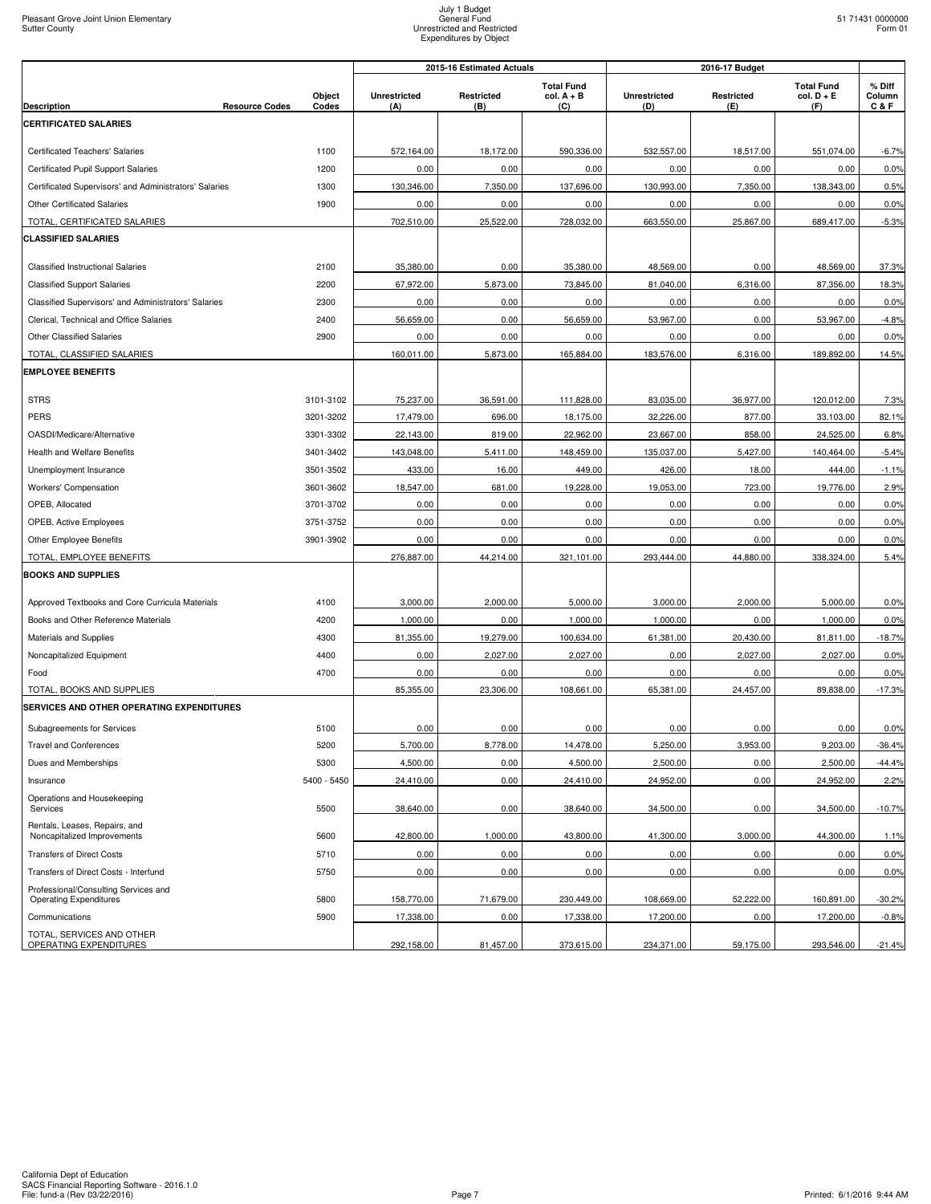|                                                                       |                 | 2015-16 Estimated Actuals  |                   |                                          | 2016-17 Budget             |                   |                                          |                           |
|-----------------------------------------------------------------------|-----------------|----------------------------|-------------------|------------------------------------------|----------------------------|-------------------|------------------------------------------|---------------------------|
| <b>Description</b><br><b>Resource Codes</b>                           | Object<br>Codes | <b>Unrestricted</b><br>(A) | Restricted<br>(B) | <b>Total Fund</b><br>$col. A + B$<br>(C) | <b>Unrestricted</b><br>(D) | Restricted<br>(E) | <b>Total Fund</b><br>$col. D + E$<br>(F) | % Diff<br>Column<br>C & F |
| <b>CERTIFICATED SALARIES</b>                                          |                 |                            |                   |                                          |                            |                   |                                          |                           |
|                                                                       |                 |                            |                   |                                          |                            |                   |                                          |                           |
| <b>Certificated Teachers' Salaries</b>                                | 1100            | 572,164.00                 | 18,172.00         | 590,336.00                               | 532.557.00                 | 18.517.00         | 551,074.00                               | $-6.7%$                   |
| Certificated Pupil Support Salaries                                   | 1200            | 0.00                       | 0.00              | 0.00                                     | 0.00                       | 0.00              | 0.00                                     | 0.0%                      |
| Certificated Supervisors' and Administrators' Salaries                | 1300            | 130,346.00                 | 7,350.00          | 137,696.00                               | 130,993.00                 | 7,350.00          | 138,343.00                               | 0.5%                      |
| Other Certificated Salaries                                           | 1900            | 0.00                       | 0.00              | 0.00                                     | 0.00<br>663,550.00         | 0.00              | 0.00                                     | 0.0%                      |
| TOTAL, CERTIFICATED SALARIES<br><b>CLASSIFIED SALARIES</b>            |                 | 702,510.00                 | 25,522.00         | 728,032.00                               |                            | 25,867.00         | 689,417.00                               | $-5.3%$                   |
| <b>Classified Instructional Salaries</b>                              | 2100            | 35,380.00                  | 0.00              | 35,380.00                                | 48,569.00                  | 0.00              | 48,569.00                                | 37.3%                     |
| <b>Classified Support Salaries</b>                                    | 2200            | 67,972.00                  | 5,873.00          | 73,845.00                                | 81,040.00                  | 6,316.00          | 87,356.00                                | 18.3%                     |
| Classified Supervisors' and Administrators' Salaries                  | 2300            | 0.00                       | 0.00              | 0.00                                     | 0.00                       | 0.00              | 0.00                                     | 0.0%                      |
| Clerical, Technical and Office Salaries                               | 2400            | 56,659.00                  | 0.00              | 56,659.00                                | 53,967.00                  | 0.00              | 53,967.00                                | $-4.8%$                   |
| Other Classified Salaries                                             | 2900            | 0.00                       | 0.00              | 0.00                                     | 0.00                       | 0.00              | 0.00                                     | 0.0%                      |
| TOTAL, CLASSIFIED SALARIES                                            |                 | 160,011.00                 | 5,873.00          | 165,884.00                               | 183,576.00                 | 6,316.00          | 189,892.00                               | 14.5%                     |
| <b>EMPLOYEE BENEFITS</b>                                              |                 |                            |                   |                                          |                            |                   |                                          |                           |
|                                                                       |                 |                            |                   |                                          |                            |                   |                                          |                           |
| <b>STRS</b>                                                           | 3101-3102       | 75,237.00                  | 36,591.00         | 111,828.00                               | 83,035.00                  | 36,977.00         | 120,012.00                               | 7.3%                      |
| PERS                                                                  | 3201-3202       | 17,479.00                  | 696.00            | 18,175.00                                | 32,226.00                  | 877.00            | 33,103.00                                | 82.1%                     |
| OASDI/Medicare/Alternative                                            | 3301-3302       | 22,143.00                  | 819.00            | 22,962.00                                | 23,667.00                  | 858.00            | 24,525.00                                | 6.8%                      |
| <b>Health and Welfare Benefits</b>                                    | 3401-3402       | 143,048.00                 | 5,411.00          | 148,459.00                               | 135,037.00                 | 5,427.00          | 140,464.00                               | $-5.4%$                   |
| Unemployment Insurance                                                | 3501-3502       | 433.00                     | 16.00             | 449.00                                   | 426.00                     | 18.00             | 444.00                                   | $-1.1%$                   |
| Workers' Compensation                                                 | 3601-3602       | 18,547.00                  | 681.00            | 19,228.00                                | 19,053.00                  | 723.00            | 19,776.00                                | 2.9%                      |
| OPEB, Allocated                                                       | 3701-3702       | 0.00                       | 0.00              | 0.00                                     | 0.00                       | 0.00              | 0.00                                     | 0.0%                      |
| OPEB, Active Employees                                                | 3751-3752       | 0.00                       | 0.00              | 0.00                                     | 0.00                       | 0.00              | 0.00                                     | 0.0%                      |
| Other Employee Benefits<br>TOTAL, EMPLOYEE BENEFITS                   | 3901-3902       | 0.00<br>276,887.00         | 0.00<br>44,214.00 | 0.00<br>321,101.00                       | 0.00<br>293,444.00         | 0.00<br>44,880.00 | 0.00<br>338,324.00                       | 0.0%<br>5.4%              |
| <b>BOOKS AND SUPPLIES</b>                                             |                 |                            |                   |                                          |                            |                   |                                          |                           |
|                                                                       |                 |                            |                   |                                          |                            |                   |                                          |                           |
| Approved Textbooks and Core Curricula Materials                       | 4100            | 3,000.00                   | 2,000.00          | 5,000.00                                 | 3,000.00                   | 2,000.00          | 5,000.00                                 | 0.0%                      |
| Books and Other Reference Materials                                   | 4200            | 1,000.00                   | 0.00              | 1,000.00                                 | 1,000.00                   | 0.00              | 1,000.00                                 | 0.0%                      |
| Materials and Supplies                                                | 4300            | 81,355.00                  | 19,279.00         | 100,634.00                               | 61,381.00                  | 20,430.00         | 81,811.00                                | $-18.7%$                  |
| Noncapitalized Equipment                                              | 4400            | 0.00                       | 2,027.00          | 2,027.00                                 | 0.00                       | 2,027.00          | 2,027.00                                 | 0.0%                      |
| Food                                                                  | 4700            | 0.00                       | 0.00              | 0.00                                     | 0.00                       | 0.00              | 0.00                                     | 0.0%                      |
| TOTAL, BOOKS AND SUPPLIES                                             |                 | 85,355.00                  | 23,306.00         | 108,661.00                               | 65,381.00                  | 24,457.00         | 89,838.00                                | $-17.3%$                  |
| SERVICES AND OTHER OPERATING EXPENDITURES                             |                 |                            |                   |                                          |                            |                   |                                          |                           |
| Subagreements for Services                                            | 5100            | 0.00                       | 0.00              | 0.00                                     | 0.00                       | 0.00              | 0.00                                     | 0.0%                      |
| <b>Travel and Conferences</b>                                         | 5200            | 5,700.00                   | 8,778.00          | 14,478.00                                | 5,250.00                   | 3,953.00          | 9,203.00                                 | $-36.4%$                  |
| Dues and Memberships                                                  | 5300            | 4,500.00                   | 0.00              | 4,500.00                                 | 2,500.00                   | 0.00              | 2,500.00                                 | $-44.4%$                  |
| Insurance                                                             | 5400 - 5450     | 24.410.00                  | 0.00              | 24,410.00                                | 24,952.00                  | 0.00              | 24,952.00                                | 2.2%                      |
| Operations and Housekeeping<br>Services                               | 5500            | 38,640.00                  | 0.00              | 38.640.00                                | 34.500.00                  | 0.00              | 34.500.00                                | $-10.7%$                  |
| Rentals, Leases, Repairs, and<br>Noncapitalized Improvements          | 5600            | 42,800.00                  | 1,000.00          | 43,800.00                                | 41,300.00                  | 3,000.00          | 44,300.00                                | 1.1%                      |
| <b>Transfers of Direct Costs</b>                                      | 5710            | 0.00                       | 0.00              | 0.00                                     | 0.00                       | 0.00              | 0.00                                     | 0.0%                      |
| Transfers of Direct Costs - Interfund                                 | 5750            | 0.00                       | 0.00              | 0.00                                     | 0.00                       | 0.00              | 0.00                                     | 0.0%                      |
| Professional/Consulting Services and<br><b>Operating Expenditures</b> | 5800            | 158,770.00                 | 71,679.00         | 230,449.00                               | 108,669.00                 | 52,222.00         | 160,891.00                               | $-30.2%$                  |
| Communications                                                        | 5900            | 17,338.00                  | 0.00              | 17,338.00                                | 17,200.00                  | 0.00              | 17,200.00                                | $-0.8%$                   |
| TOTAL, SERVICES AND OTHER<br>OPERATING EXPENDITURES                   |                 | 292,158.00                 | 81,457.00         | 373,615.00                               | 234,371.00                 | 59,175.00         | 293,546.00                               | $-21.4%$                  |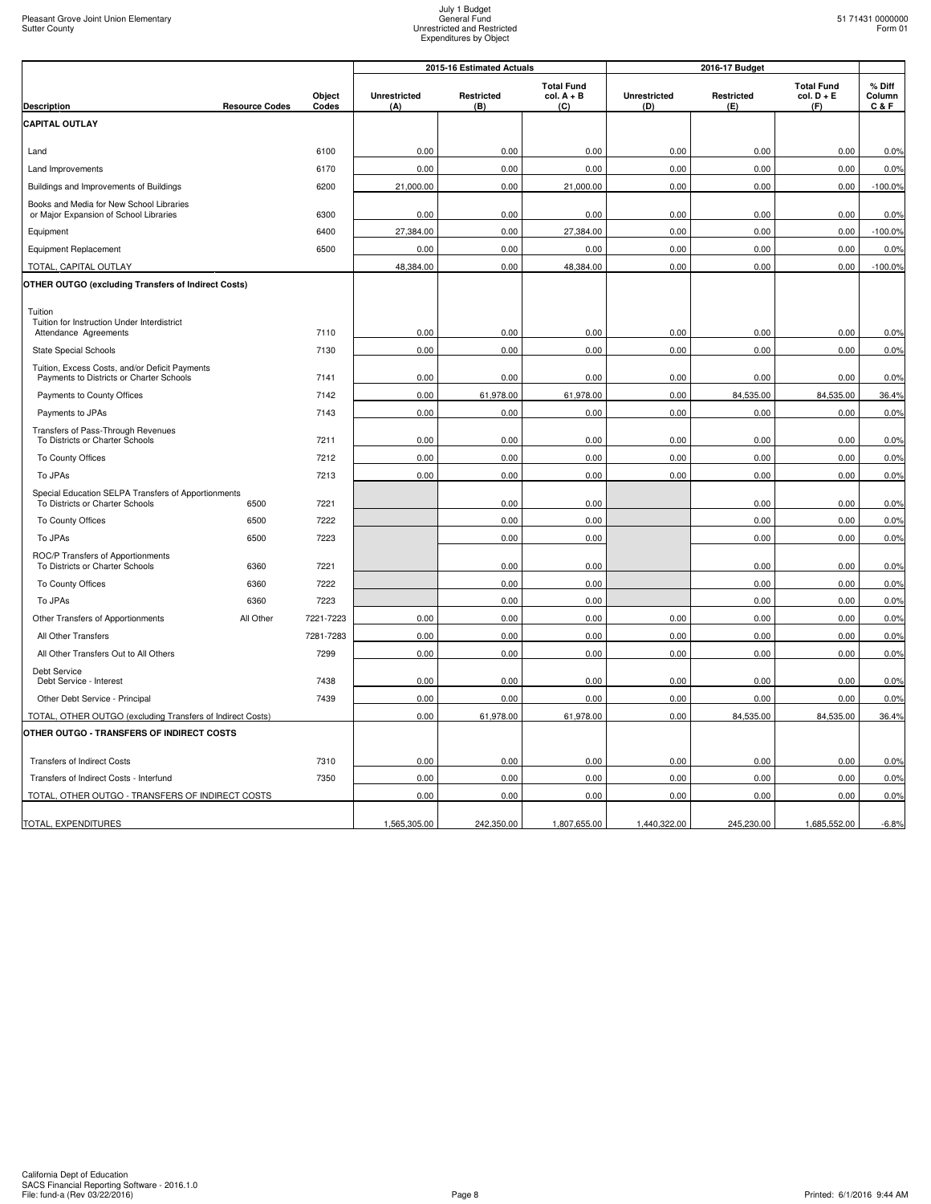|                                                                                            |                       |                 | 2015-16 Estimated Actuals  |                   |                                          | 2016-17 Budget             |                   |                                          |                             |
|--------------------------------------------------------------------------------------------|-----------------------|-----------------|----------------------------|-------------------|------------------------------------------|----------------------------|-------------------|------------------------------------------|-----------------------------|
| <b>Description</b>                                                                         | <b>Resource Codes</b> | Object<br>Codes | <b>Unrestricted</b><br>(A) | Restricted<br>(B) | <b>Total Fund</b><br>$col. A + B$<br>(C) | <b>Unrestricted</b><br>(D) | Restricted<br>(E) | <b>Total Fund</b><br>$col. D + E$<br>(F) | $%$ Diff<br>Column<br>C & F |
| CAPITAL OUTLAY                                                                             |                       |                 |                            |                   |                                          |                            |                   |                                          |                             |
| Land                                                                                       |                       | 6100            | 0.00                       | 0.00              | 0.00                                     | 0.00                       | 0.00              | 0.00                                     | 0.0%                        |
| Land Improvements                                                                          |                       | 6170            | 0.00                       | 0.00              | 0.00                                     | 0.00                       | 0.00              | 0.00                                     | 0.0%                        |
| Buildings and Improvements of Buildings                                                    |                       | 6200            | 21,000.00                  | 0.00              | 21,000.00                                | 0.00                       | 0.00              | 0.00                                     | $-100.0%$                   |
| Books and Media for New School Libraries<br>or Major Expansion of School Libraries         |                       | 6300            | 0.00                       | 0.00              | 0.00                                     | 0.00                       | 0.00              | 0.00                                     | 0.0%                        |
| Equipment                                                                                  |                       | 6400            | 27,384.00                  | 0.00              | 27,384.00                                | 0.00                       | 0.00              | 0.00                                     | $-100.0%$                   |
| <b>Equipment Replacement</b>                                                               |                       | 6500            | 0.00                       | 0.00              | 0.00                                     | 0.00                       | 0.00              | 0.00                                     | 0.0%                        |
| TOTAL, CAPITAL OUTLAY                                                                      |                       |                 | 48,384.00                  | 0.00              | 48,384.00                                | 0.00                       | 0.00              | 0.00                                     | $-100.0%$                   |
| OTHER OUTGO (excluding Transfers of Indirect Costs)                                        |                       |                 |                            |                   |                                          |                            |                   |                                          |                             |
| Tuition                                                                                    |                       |                 |                            |                   |                                          |                            |                   |                                          |                             |
| Tuition for Instruction Under Interdistrict<br>Attendance Agreements                       |                       | 7110            | 0.00                       | 0.00              | 0.00                                     | 0.00                       | 0.00              | 0.00                                     | 0.0%                        |
| <b>State Special Schools</b>                                                               |                       | 7130            | 0.00                       | 0.00              | 0.00                                     | 0.00                       | 0.00              | 0.00                                     | 0.0%                        |
| Tuition, Excess Costs, and/or Deficit Payments<br>Payments to Districts or Charter Schools |                       | 7141            | 0.00                       | 0.00              | 0.00                                     | 0.00                       | 0.00              | 0.00                                     | 0.0%                        |
| Payments to County Offices                                                                 |                       | 7142            | 0.00                       | 61,978.00         | 61,978.00                                | 0.00                       | 84,535.00         | 84,535.00                                | 36.4%                       |
| Payments to JPAs                                                                           |                       | 7143            | 0.00                       | 0.00              | 0.00                                     | 0.00                       | 0.00              | 0.00                                     | 0.0%                        |
| Transfers of Pass-Through Revenues<br>To Districts or Charter Schools                      |                       | 7211            | 0.00                       | 0.00              | 0.00                                     | 0.00                       | 0.00              | 0.00                                     | 0.0%                        |
| To County Offices                                                                          |                       | 7212            | 0.00                       | 0.00              | 0.00                                     | 0.00                       | 0.00              | 0.00                                     | 0.0%                        |
| To JPAs                                                                                    |                       | 7213            | 0.00                       | 0.00              | 0.00                                     | 0.00                       | 0.00              | 0.00                                     | 0.0%                        |
| Special Education SELPA Transfers of Apportionments<br>To Districts or Charter Schools     | 6500                  | 7221            |                            | 0.00              | 0.00                                     |                            | 0.00              | 0.00                                     | 0.0%                        |
| To County Offices                                                                          | 6500                  | 7222            |                            | 0.00              | 0.00                                     |                            | 0.00              | 0.00                                     | 0.0%                        |
| To JPAs                                                                                    | 6500                  | 7223            |                            | 0.00              | 0.00                                     |                            | 0.00              | 0.00                                     | 0.0%                        |
| ROC/P Transfers of Apportionments                                                          |                       |                 |                            |                   |                                          |                            |                   |                                          |                             |
| To Districts or Charter Schools                                                            | 6360                  | 7221            |                            | 0.00              | 0.00                                     |                            | 0.00              | 0.00                                     | 0.0%                        |
| To County Offices                                                                          | 6360                  | 7222            |                            | 0.00              | 0.00                                     |                            | 0.00              | 0.00                                     | 0.0%                        |
| To JPAs                                                                                    | 6360                  | 7223            |                            | 0.00              | 0.00                                     |                            | 0.00              | 0.00                                     | 0.0%                        |
| Other Transfers of Apportionments                                                          | All Other             | 7221-7223       | 0.00                       | 0.00              | 0.00                                     | 0.00                       | 0.00              | 0.00                                     | 0.0%                        |
| All Other Transfers                                                                        |                       | 7281-7283       | 0.00                       | 0.00              | 0.00                                     | 0.00                       | 0.00              | 0.00                                     | 0.0%                        |
| All Other Transfers Out to All Others                                                      |                       | 7299            | 0.00                       | 0.00              | 0.00                                     | 0.00                       | 0.00              | 0.00                                     | 0.0%                        |
| Debt Service<br>Debt Service - Interest                                                    |                       | 7438            | 0.00                       | 0.00              | 0.00                                     | 0.00                       | 0.00              | 0.00                                     | 0.0%                        |
| Other Debt Service - Principal                                                             |                       | 7439            | 0.00                       | 0.00              | 0.00                                     | 0.00                       | 0.00              | 0.00                                     | 0.0%                        |
| TOTAL, OTHER OUTGO (excluding Transfers of Indirect Costs)                                 |                       |                 | 0.00                       | 61,978.00         | 61,978.00                                | 0.00                       | 84,535.00         | 84,535.00                                | 36.4%                       |
| OTHER OUTGO - TRANSFERS OF INDIRECT COSTS                                                  |                       |                 |                            |                   |                                          |                            |                   |                                          |                             |
| <b>Transfers of Indirect Costs</b>                                                         |                       | 7310            | 0.00                       | 0.00              | 0.00                                     | 0.00                       | 0.00              | 0.00                                     | 0.0%                        |
| Transfers of Indirect Costs - Interfund                                                    |                       | 7350            | 0.00                       | 0.00              | 0.00                                     | 0.00                       | 0.00              | 0.00                                     | 0.0%                        |
| TOTAL, OTHER OUTGO - TRANSFERS OF INDIRECT COSTS                                           |                       |                 | 0.00                       | 0.00              | 0.00                                     | 0.00                       | 0.00              | 0.00                                     | 0.0%                        |
| TOTAL, EXPENDITURES                                                                        |                       |                 | 1,565,305.00               | 242,350.00        | 1,807,655.00                             | 1,440,322.00               | 245,230.00        | 1,685,552.00                             | $-6.8%$                     |